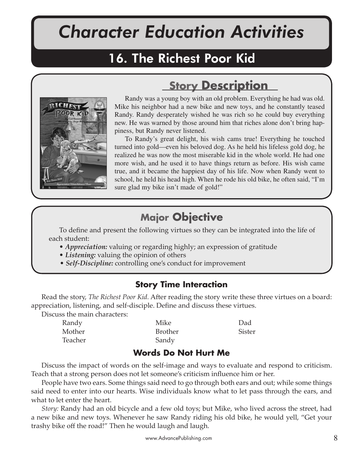# *Character Education Activities*

## 16. The Richest Poor Kid



## **Story Description**

Randy was a young boy with an old problem. Everything he had was old. Mike his neighbor had a new bike and new toys, and he constantly teased Randy. Randy desperately wished he was rich so he could buy everything new. He was warned by those around him that riches alone don't bring happiness, but Randy never listened.

To Randy's great delight, his wish cams true! Everything he touched turned into gold—even his beloved dog. As he held his lifeless gold dog, he realized he was now the most miserable kid in the whole world. He had one more wish, and he used it to have things return as before. His wish came true, and it became the happiest day of his life. Now when Randy went to school, he held his head high. When he rode his old bike, he often said, "I'm sure glad my bike isn't made of gold!"

## **Major Objective**

To define and present the following virtues so they can be integrated into the life of each student:

- *Appreciation:* valuing or regarding highly; an expression of gratitude
- *Listening:* valuing the opinion of others
- *Self-Discipline:* controlling one's conduct for improvement

## **Story Time Interaction**

Read the story, *The Richest Poor Kid.* After reading the story write these three virtues on a board: appreciation, listening, and self-disciple. Define and discuss these virtues.

Discuss the main characters:

| Randy   | Mike           | Dad           |
|---------|----------------|---------------|
| Mother  | <b>Brother</b> | <b>Sister</b> |
| Teacher | Sandy          |               |

### **Words Do Not Hurt Me**

Discuss the impact of words on the self-image and ways to evaluate and respond to criticism. Teach that a strong person does not let someone's criticism influence him or her.

People have two ears. Some things said need to go through both ears and out; while some things said need to enter into our hearts. Wise individuals know what to let pass through the ears, and what to let enter the heart.

*Story:* Randy had an old bicycle and a few old toys; but Mike, who lived across the street, had a new bike and new toys. Whenever he saw Randy riding his old bike, he would yell, "Get your trashy bike off the road!" Then he would laugh and laugh.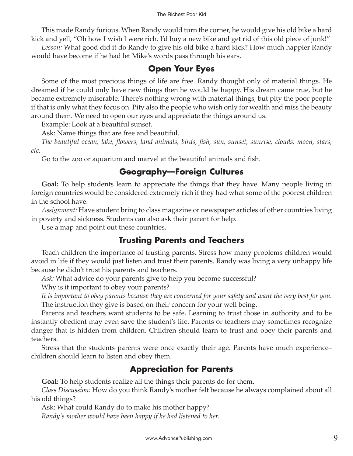#### The Richest Poor Kid

This made Randy furious. When Randy would turn the corner, he would give his old bike a hard kick and yell, "Oh how I wish I were rich. I'd buy a new bike and get rid of this old piece of junk!"

*Lesson:* What good did it do Randy to give his old bike a hard kick? How much happier Randy would have become if he had let Mike's words pass through his ears.

#### **Open Your Eyes**

Some of the most precious things of life are free. Randy thought only of material things. He dreamed if he could only have new things then he would be happy. His dream came true, but he became extremely miserable. There's nothing wrong with material things, but pity the poor people if that is only what they focus on. Pity also the people who wish only for wealth and miss the beauty around them. We need to open our eyes and appreciate the things around us.

Example: Look at a beautiful sunset.

Ask: Name things that are free and beautiful.

*The beautiful ocean, lake, flowers, land animals, birds, fish, sun, sunset, sunrise, clouds, moon, stars, etc.*

Go to the zoo or aquarium and marvel at the beautiful animals and fish.

## **Geography—Foreign Cultures**

**Goal:** To help students learn to appreciate the things that they have. Many people living in foreign countries would be considered extremely rich if they had what some of the poorest children in the school have.

*Assignment:* Have student bring to class magazine or newspaper articles of other countries living in poverty and sickness. Students can also ask their parent for help.

Use a map and point out these countries.

### **Trusting Parents and Teachers**

Teach children the importance of trusting parents. Stress how many problems children would avoid in life if they would just listen and trust their parents. Randy was living a very unhappy life because he didn't trust his parents and teachers.

*Ask:* What advice do your parents give to help you become successful?

Why is it important to obey your parents?

*It is important to obey parents because they are concerned for your safety and want the very best for you.* The instruction they give is based on their concern for your well being.

Parents and teachers want students to be safe. Learning to trust those in authority and to be instantly obedient may even save the student's life. Parents or teachers may sometimes recognize danger that is hidden from children. Children should learn to trust and obey their parents and teachers.

Stress that the students parents were once exactly their age. Parents have much experience– children should learn to listen and obey them.

### **Appreciation for Parents**

**Goal:** To help students realize all the things their parents do for them.

*Class Discussion:* How do you think Randy's mother felt because he always complained about all his old things?

Ask: What could Randy do to make his mother happy? *Randy's mother would have been happy if he had listened to her.*